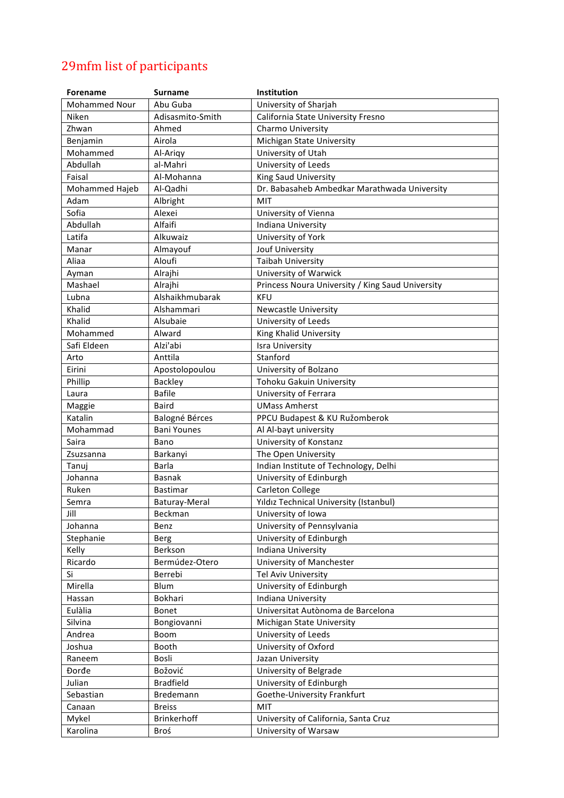## 29mfm list of participants

| <b>Forename</b>      | <b>Surname</b>     | Institution                                      |
|----------------------|--------------------|--------------------------------------------------|
| <b>Mohammed Nour</b> | Abu Guba           | University of Sharjah                            |
| Niken                | Adisasmito-Smith   | California State University Fresno               |
| Zhwan                | Ahmed              | Charmo University                                |
| Benjamin             | Airola             | Michigan State University                        |
| Mohammed             | Al-Arigy           | University of Utah                               |
| Abdullah             | al-Mahri           | University of Leeds                              |
| Faisal               | Al-Mohanna         | King Saud University                             |
| Mohammed Hajeb       | Al-Qadhi           | Dr. Babasaheb Ambedkar Marathwada University     |
| Adam                 | Albright           | MIT                                              |
| Sofia                | Alexei             | University of Vienna                             |
| Abdullah             | Alfaifi            | Indiana University                               |
| Latifa               | Alkuwaiz           | University of York                               |
| Manar                | Almayouf           | Jouf University                                  |
| Aliaa                | Aloufi             | <b>Taibah University</b>                         |
| Ayman                | Alrajhi            | University of Warwick                            |
| Mashael              | Alrajhi            | Princess Noura University / King Saud University |
| Lubna                | Alshaikhmubarak    | <b>KFU</b>                                       |
| Khalid               | Alshammari         | <b>Newcastle University</b>                      |
| Khalid               | Alsubaie           | University of Leeds                              |
| Mohammed             | Alward             | King Khalid University                           |
| Safi Eldeen          | Alzi'abi           | <b>Isra University</b>                           |
| Arto                 | Anttila            | Stanford                                         |
| Eirini               | Apostolopoulou     | University of Bolzano                            |
| Phillip              | <b>Backley</b>     | Tohoku Gakuin University                         |
| Laura                | <b>Bafile</b>      | University of Ferrara                            |
| Maggie               | <b>Baird</b>       | <b>UMass Amherst</b>                             |
| Katalin              | Balogné Bérces     | PPCU Budapest & KU Ružomberok                    |
| Mohammad             | <b>Bani Younes</b> | Al Al-bayt university                            |
| Saira                | Bano               | University of Konstanz                           |
| Zsuzsanna            | Barkanyi           | The Open University                              |
| Tanuj                | Barla              | Indian Institute of Technology, Delhi            |
| Johanna              | <b>Basnak</b>      | University of Edinburgh                          |
| Ruken                | Bastimar           | Carleton College                                 |
| Semra                | Baturay-Meral      | Yıldız Technical University (Istanbul)           |
| Jill                 | Beckman            | University of Iowa                               |
| Johanna              | Benz               | University of Pennsylvania                       |
| Stephanie            | Berg               | University of Edinburgh                          |
| Kelly                | Berkson            | Indiana University                               |
| Ricardo              | Bermúdez-Otero     | University of Manchester                         |
| Si                   | Berrebi            | <b>Tel Aviv University</b>                       |
| Mirella              | Blum               | University of Edinburgh                          |
| Hassan               | Bokhari            | Indiana University                               |
| Eulàlia              | Bonet              | Universitat Autònoma de Barcelona                |
| Silvina              | Bongiovanni        | Michigan State University                        |
| Andrea               | Boom               | University of Leeds                              |
| Joshua               | Booth              | University of Oxford                             |
| Raneem               | Bosli              | Jazan University                                 |
| Đorđe                | Božović            | University of Belgrade                           |
| Julian               | <b>Bradfield</b>   | University of Edinburgh                          |
| Sebastian            | Bredemann          | Goethe-University Frankfurt                      |
| Canaan               | <b>Breiss</b>      | MIT                                              |
| Mykel                | Brinkerhoff        | University of California, Santa Cruz             |
| Karolina             | Broś               | University of Warsaw                             |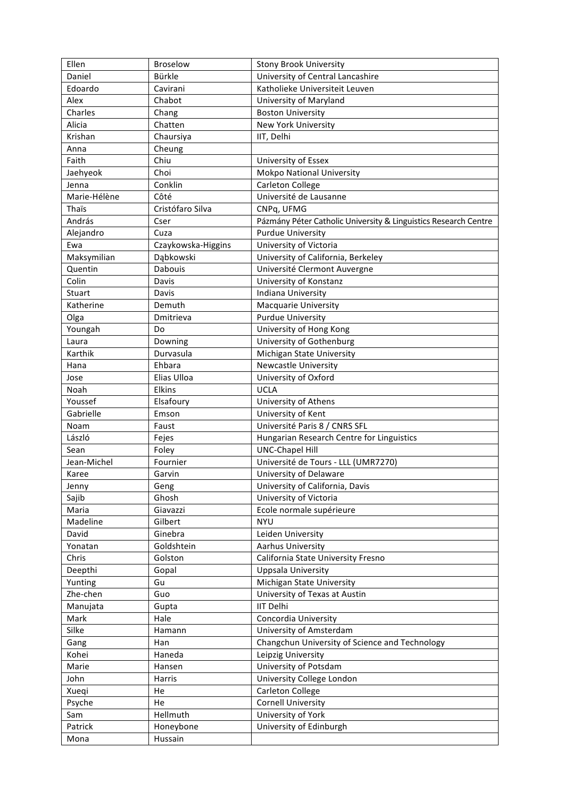| Ellen        | <b>Broselow</b>    | <b>Stony Brook University</b>                                   |
|--------------|--------------------|-----------------------------------------------------------------|
| Daniel       | Bürkle             | University of Central Lancashire                                |
| Edoardo      | Cavirani           | Katholieke Universiteit Leuven                                  |
| Alex         | Chabot             | University of Maryland                                          |
| Charles      | Chang              | <b>Boston University</b>                                        |
| Alicia       | Chatten            | <b>New York University</b>                                      |
| Krishan      | Chaursiya          | IIT, Delhi                                                      |
| Anna         | Cheung             |                                                                 |
| Faith        | Chiu               | University of Essex                                             |
| Jaehyeok     | Choi               | <b>Mokpo National University</b>                                |
| Jenna        | Conklin            | Carleton College                                                |
| Marie-Hélène | Côté               | Université de Lausanne                                          |
| Thaïs        | Cristófaro Silva   | CNPq, UFMG                                                      |
| András       | Cser               | Pázmány Péter Catholic University & Linguistics Research Centre |
| Alejandro    | Cuza               | <b>Purdue University</b>                                        |
| Ewa          | Czaykowska-Higgins | University of Victoria                                          |
| Maksymilian  | Dąbkowski          | University of California, Berkeley                              |
| Quentin      | Dabouis            | Université Clermont Auvergne                                    |
| Colin        | Davis              | University of Konstanz                                          |
| Stuart       | Davis              | Indiana University                                              |
| Katherine    | Demuth             | Macquarie University                                            |
| Olga         | Dmitrieva          | <b>Purdue University</b>                                        |
| Youngah      | Do                 | University of Hong Kong                                         |
| Laura        | Downing            | University of Gothenburg                                        |
| Karthik      | Durvasula          | Michigan State University                                       |
| Hana         | Ehbara             | Newcastle University                                            |
| Jose         | Elias Ulloa        | University of Oxford                                            |
| Noah         | Elkins             | <b>UCLA</b>                                                     |
| Youssef      | Elsafoury          | University of Athens                                            |
| Gabrielle    | Emson              | University of Kent                                              |
| Noam         | Faust              | Université Paris 8 / CNRS SFL                                   |
| László       | Fejes              | Hungarian Research Centre for Linguistics                       |
| Sean         | Foley              | <b>UNC-Chapel Hill</b>                                          |
| Jean-Michel  | Fournier           | Université de Tours - LLL (UMR7270)                             |
| Karee        | Garvin             | University of Delaware                                          |
| Jenny        | Geng               | University of California, Davis                                 |
| Sajib        | Ghosh              | University of Victoria                                          |
| Maria        | Giavazzi           | Ecole normale supérieure                                        |
| Madeline     | Gilbert            | <b>NYU</b>                                                      |
| David        | Ginebra            | Leiden University                                               |
| Yonatan      | Goldshtein         | Aarhus University                                               |
| Chris        | Golston            | California State University Fresno                              |
| Deepthi      | Gopal              | Uppsala University                                              |
| Yunting      | Gu                 | Michigan State University                                       |
| Zhe-chen     | Guo                | University of Texas at Austin                                   |
| Manujata     | Gupta              | <b>IIT Delhi</b>                                                |
| Mark         | Hale               | Concordia University                                            |
| Silke        | Hamann             | University of Amsterdam                                         |
| Gang         | Han                | Changchun University of Science and Technology                  |
| Kohei        | Haneda             | Leipzig University                                              |
| Marie        | Hansen             | University of Potsdam                                           |
| John         | Harris             | University College London                                       |
| Xueqi        | He                 | Carleton College                                                |
| Psyche       | He                 | <b>Cornell University</b>                                       |
| Sam          | Hellmuth           | University of York                                              |
| Patrick      | Honeybone          | University of Edinburgh                                         |
| Mona         | Hussain            |                                                                 |
|              |                    |                                                                 |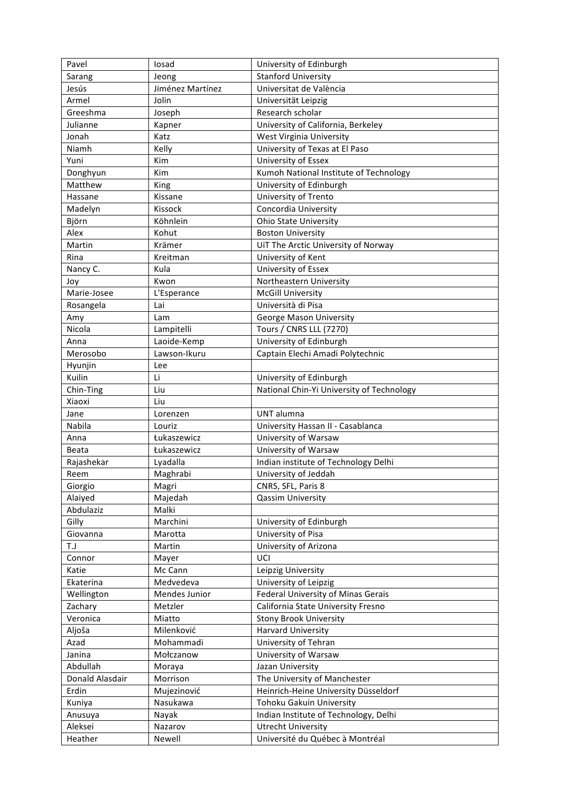| Pavel           | losad            | University of Edinburgh                   |
|-----------------|------------------|-------------------------------------------|
| Sarang          | Jeong            | <b>Stanford University</b>                |
| Jesús           | Jiménez Martínez | Universitat de València                   |
| Armel           | Jolin            | Universität Leipzig                       |
| Greeshma        | Joseph           | Research scholar                          |
| Julianne        | Kapner           | University of California, Berkeley        |
| Jonah           | Katz             | West Virginia University                  |
| Niamh           | Kelly            | University of Texas at El Paso            |
| Yuni            | Kim              | University of Essex                       |
| Donghyun        | Kim              | Kumoh National Institute of Technology    |
| Matthew         | King             | University of Edinburgh                   |
| Hassane         | Kissane          | University of Trento                      |
| Madelyn         | Kissock          | Concordia University                      |
| Björn           | Köhnlein         | <b>Ohio State University</b>              |
| Alex            | Kohut            | <b>Boston University</b>                  |
| Martin          | Krämer           | UiT The Arctic University of Norway       |
| Rina            | Kreitman         | University of Kent                        |
| Nancy C.        | Kula             | University of Essex                       |
| Joy             | Kwon             | Northeastern University                   |
| Marie-Josee     | L'Esperance      | <b>McGill University</b>                  |
| Rosangela       | Lai              | Università di Pisa                        |
| Amy             | Lam              | George Mason University                   |
| Nicola          | Lampitelli       | <b>Tours / CNRS LLL (7270)</b>            |
| Anna            | Laoide-Kemp      | University of Edinburgh                   |
| Merosobo        | Lawson-Ikuru     | Captain Elechi Amadi Polytechnic          |
| Hyunjin         | Lee              |                                           |
| Kuilin          | Li               | University of Edinburgh                   |
| Chin-Ting       | Liu              | National Chin-Yi University of Technology |
| Xiaoxi          | Liu              |                                           |
| Jane            | Lorenzen         | UNT alumna                                |
| Nabila          | Louriz           | University Hassan II - Casablanca         |
| Anna            | Łukaszewicz      | University of Warsaw                      |
| Beata           | Łukaszewicz      | University of Warsaw                      |
| Rajashekar      | Lyadalla         | Indian institute of Technology Delhi      |
| Reem            | Maghrabi         | University of Jeddah                      |
| Giorgio         | Magri            | CNRS, SFL, Paris 8                        |
| Alaiyed         | Majedah          | <b>Qassim University</b>                  |
| Abdulaziz       | Malki            |                                           |
| Gilly           | Marchini         | University of Edinburgh                   |
| Giovanna        | Marotta          | University of Pisa                        |
| T.J             | Martin           | University of Arizona                     |
| Connor          | Mayer            | UCI                                       |
| Katie           | Mc Cann          | Leipzig University                        |
| Ekaterina       | Medvedeva        | University of Leipzig                     |
| Wellington      | Mendes Junior    | Federal University of Minas Gerais        |
| Zachary         | Metzler          | California State University Fresno        |
| Veronica        | Miatto           | <b>Stony Brook University</b>             |
| Aljoša          | Milenković       | <b>Harvard University</b>                 |
| Azad            | Mohammadi        | University of Tehran                      |
| Janina          | Mołczanow        | University of Warsaw                      |
| Abdullah        | Moraya           | Jazan University                          |
| Donald Alasdair | Morrison         | The University of Manchester              |
| Erdin           | Mujezinović      | Heinrich-Heine University Düsseldorf      |
| Kuniya          | Nasukawa         | Tohoku Gakuin University                  |
| Anusuya         | Nayak            | Indian Institute of Technology, Delhi     |
| Aleksei         | Nazarov          | <b>Utrecht University</b>                 |
| Heather         | Newell           | Université du Québec à Montréal           |
|                 |                  |                                           |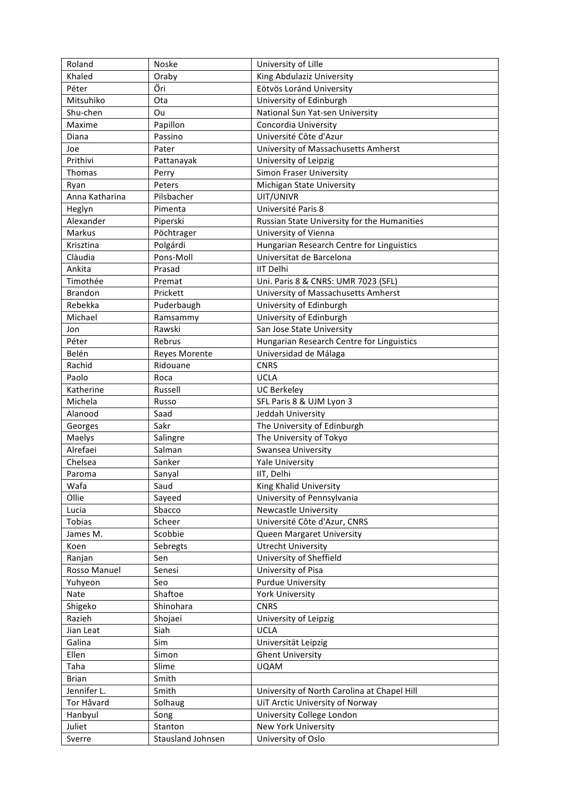| Roland         | Noske                | University of Lille                         |
|----------------|----------------------|---------------------------------------------|
| Khaled         | Oraby                | King Abdulaziz University                   |
| Péter          | Őri                  | Eötvös Loránd University                    |
| Mitsuhiko      | Ota                  | University of Edinburgh                     |
| Shu-chen       | Ou                   | National Sun Yat-sen University             |
| Maxime         | Papillon             | Concordia University                        |
| Diana          | Passino              | Université Côte d'Azur                      |
| Joe            | Pater                | University of Massachusetts Amherst         |
| Prithivi       | Pattanayak           | University of Leipzig                       |
| Thomas         | Perry                | <b>Simon Fraser University</b>              |
| Ryan           | Peters               | Michigan State University                   |
| Anna Katharina | Pilsbacher           | UIT/UNIVR                                   |
| Heglyn         | Pimenta              | Université Paris 8                          |
| Alexander      | Piperski             | Russian State University for the Humanities |
| Markus         | Pöchtrager           | University of Vienna                        |
| Krisztina      | Polgárdi             | Hungarian Research Centre for Linguistics   |
| Clàudia        | Pons-Moll            | Universitat de Barcelona                    |
| Ankita         | Prasad               | <b>IIT Delhi</b>                            |
| Timothée       | Premat               | Uni. Paris 8 & CNRS: UMR 7023 (SFL)         |
| <b>Brandon</b> | Prickett             | University of Massachusetts Amherst         |
| Rebekka        | Puderbaugh           | University of Edinburgh                     |
| Michael        | Ramsammy             | University of Edinburgh                     |
| Jon            | Rawski               | San Jose State University                   |
| Péter          | Rebrus               | Hungarian Research Centre for Linguistics   |
| Belén          | <b>Reyes Morente</b> | Universidad de Málaga                       |
| Rachid         | Ridouane             | <b>CNRS</b>                                 |
| Paolo          | Roca                 | <b>UCLA</b>                                 |
| Katherine      | Russell              | <b>UC Berkeley</b>                          |
| Michela        | Russo                | SFL Paris 8 & UJM Lyon 3                    |
| Alanood        | Saad                 | Jeddah University                           |
| Georges        | Sakr                 | The University of Edinburgh                 |
| Maelys         | Salingre             | The University of Tokyo                     |
| Alrefaei       | Salman               | Swansea University                          |
| Chelsea        | Sanker               | <b>Yale University</b>                      |
| Paroma         | Sanyal               | IIT, Delhi                                  |
| Wafa           | Saud                 | King Khalid University                      |
| Ollie          | Sayeed               | University of Pennsylvania                  |
| Lucia          | Sbacco               | <b>Newcastle University</b>                 |
| Tobias         | Scheer               | Université Côte d'Azur, CNRS                |
| James M.       | Scobbie              | <b>Queen Margaret University</b>            |
| Koen           | Sebregts             | <b>Utrecht University</b>                   |
| Ranjan         | Sen                  | University of Sheffield                     |
| Rosso Manuel   | Senesi               | University of Pisa                          |
| Yuhyeon        | Seo                  | <b>Purdue University</b>                    |
| Nate           | Shaftoe              | <b>York University</b>                      |
| Shigeko        | Shinohara            | <b>CNRS</b>                                 |
| Razieh         | Shojaei              | University of Leipzig                       |
| Jian Leat      | Siah                 | <b>UCLA</b>                                 |
| Galina         | Sim                  | Universität Leipzig                         |
| Ellen          | Simon                | <b>Ghent University</b>                     |
| Taha           | Slime                | <b>UQAM</b>                                 |
| <b>Brian</b>   | Smith                |                                             |
| Jennifer L.    | Smith                | University of North Carolina at Chapel Hill |
| Tor Håvard     | Solhaug              | UiT Arctic University of Norway             |
| Hanbyul        | Song                 | University College London                   |
| Juliet         | Stanton              | New York University                         |
| Sverre         | Stausland Johnsen    | University of Oslo                          |